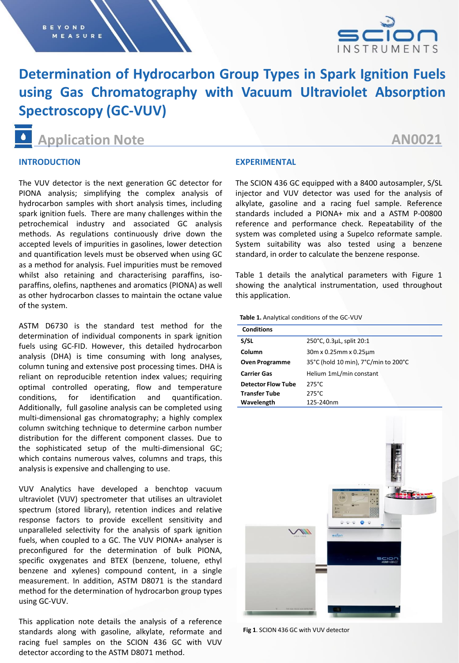

# **Determination of Hydrocarbon Group Types in Spark Ignition Fuels using Gas Chromatography with Vacuum Ultraviolet Absorption Spectroscopy (GC-VUV)**

**Application Note**

# **AN0021**

# **INTRODUCTION**

The VUV detector is the next generation GC detector for PIONA analysis; simplifying the complex analysis of hydrocarbon samples with short analysis times, including spark ignition fuels. There are many challenges within the petrochemical industry and associated GC analysis methods. As regulations continuously drive down the accepted levels of impurities in gasolines, lower detection and quantification levels must be observed when using GC as a method for analysis. Fuel impurities must be removed whilst also retaining and characterising paraffins, isoparaffins, olefins, napthenes and aromatics (PIONA) as well as other hydrocarbon classes to maintain the octane value of the system.

ASTM D6730 is the standard test method for the determination of individual components in spark ignition fuels using GC-FID. However, this detailed hydrocarbon analysis (DHA) is time consuming with long analyses, column tuning and extensive post processing times. DHA is reliant on reproducible retention index values; requiring optimal controlled operating, flow and temperature conditions, for identification and quantification. Additionally, full gasoline analysis can be completed using multi-dimensional gas chromatography; a highly complex column switching technique to determine carbon number distribution for the different component classes. Due to the sophisticated setup of the multi-dimensional GC; which contains numerous valves, columns and traps, this analysis is expensive and challenging to use.

VUV Analytics have developed a benchtop vacuum ultraviolet (VUV) spectrometer that utilises an ultraviolet spectrum (stored library), retention indices and relative response factors to provide excellent sensitivity and unparalleled selectivity for the analysis of spark ignition fuels, when coupled to a GC. The VUV PIONA+ analyser is preconfigured for the determination of bulk PIONA, specific oxygenates and BTEX (benzene, toluene, ethyl benzene and xylenes) compound content, in a single measurement. In addition, ASTM D8071 is the standard method for the determination of hydrocarbon group types using GC-VUV.

This application note details the analysis of a reference standards along with gasoline, alkylate, reformate and racing fuel samples on the SCION 436 GC with VUV detector according to the ASTM D8071 method.

## **EXPERIMENTAL**

The SCION 436 GC equipped with a 8400 autosampler, S/SL injector and VUV detector was used for the analysis of alkylate, gasoline and a racing fuel sample. Reference standards included a PIONA+ mix and a ASTM P-00800 reference and performance check. Repeatability of the system was completed using a Supelco reformate sample. System suitability was also tested using a benzene standard, in order to calculate the benzene response.

Table 1 details the analytical parameters with Figure 1 showing the analytical instrumentation, used throughout this application.

**Table 1.** Analytical conditions of the GC-VUV

| <b>Conditions</b>         |                                      |  |
|---------------------------|--------------------------------------|--|
| S/SL                      | 250°C, 0.3µL, split 20:1             |  |
| Column                    | 30m x 0.25mm x 0.25µm                |  |
| <b>Oven Programme</b>     | 35°C (hold 10 min), 7°C/min to 200°C |  |
| <b>Carrier Gas</b>        | Helium 1mL/min constant              |  |
| <b>Detector Flow Tube</b> | $275^{\circ}$ C                      |  |
| <b>Transfer Tube</b>      | $275^{\circ}$ C                      |  |
| Wavelength                | 125-240nm                            |  |



**Fig 1**. SCION 436 GC with VUV detector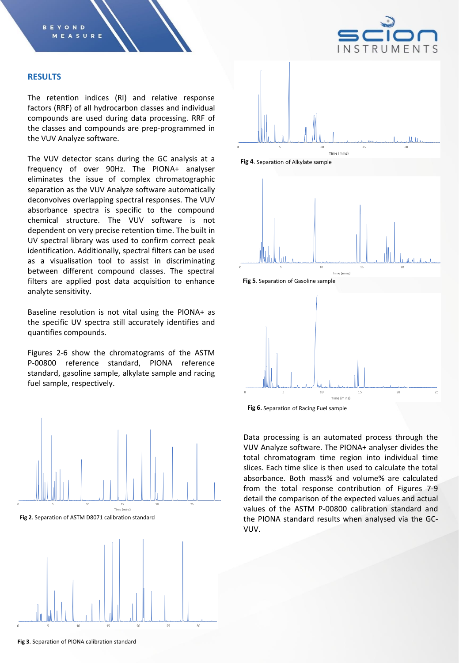

#### **RESULTS**

The retention indices (RI) and relative response factors (RRF) of all hydrocarbon classes and individual compounds are used during data processing. RRF of the classes and compounds are prep-programmed in the VUV Analyze software.

The VUV detector scans during the GC analysis at a frequency of over 90Hz. The PIONA+ analyser eliminates the issue of complex chromatographic separation as the VUV Analyze software automatically deconvolves overlapping spectral responses. The VUV absorbance spectra is specific to the compound chemical structure. The VUV software is not dependent on very precise retention time. The built in UV spectral library was used to confirm correct peak identification. Additionally, spectral filters can be used as a visualisation tool to assist in discriminating between different compound classes. The spectral filters are applied post data acquisition to enhance analyte sensitivity.

Baseline resolution is not vital using the PIONA+ as the specific UV spectra still accurately identifies and quantifies compounds.

Figures 2-6 show the chromatograms of the ASTM P-00800 reference standard, PIONA reference standard, gasoline sample, alkylate sample and racing fuel sample, respectively.



**Fig 2**. Separation of ASTM D8071 calibration standard













**Fig 6**. Separation of Racing Fuel sample

Data processing is an automated process through the VUV Analyze software. The PIONA+ analyser divides the total chromatogram time region into individual time slices. Each time slice is then used to calculate the total absorbance. Both mass% and volume% are calculated from the total response contribution of Figures 7-9 detail the comparison of the expected values and actual values of the ASTM P-00800 calibration standard and the PIONA standard results when analysed via the GC-VUV.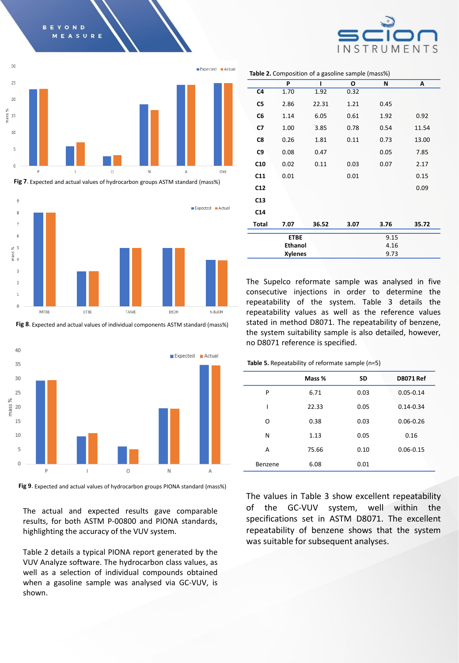

**BEYOND** 

**Fig 7**. Expected and actual values of hydrocarbon groups ASTM standard (mass%)



**Fig 8**. Expected and actual values of individual components ASTM standard (mass%)



**Fig 9**. Expected and actual values of hydrocarbon groups PIONA standard (mass%)

The actual and expected results gave comparable results, for both ASTM P-00800 and PIONA standards, highlighting the accuracy of the VUV system.

Table 2 details a typical PIONA report generated by the VUV Analyze software. The hydrocarbon class values, as well as a selection of individual compounds obtained when a gasoline sample was analysed via GC-VUV, is shown.

**P I O N A C4** 1.70 1.92 0.32 **C5** 2.86 22.31 1.21 0.45 **C6** 1.14 6.05 0.61 1.92 0.92 **C7** 1.00 3.85 0.78 0.54 11.54 **C8** 0.26 1.81 0.11 0.73 13.00 **C9** 0.08 0.47 0.05 7.85 **C10** 0.02 0.11 0.03 0.07 2.17 **C11** 0.01 0.01 0.15 **C12** 0.09 **C13 C14**

**ETBE** 9.15 **Ethanol** 4.16 **Xylenes** 9.73 The Supelco reformate sample was analysed in five

**Total 7.07 36.52 3.07 3.76 35.72**

consecutive injections in order to determine the repeatability of the system. Table 3 details the repeatability values as well as the reference values stated in method D8071. The repeatability of benzene, the system suitability sample is also detailed, however, no D8071 reference is specified.

**Table 5.** Repeatability of reformate sample (n=5)

|         | Mass % | SD   | <b>D8071 Ref</b> |
|---------|--------|------|------------------|
| P       | 6.71   | 0.03 | $0.05 - 0.14$    |
|         | 22.33  | 0.05 | $0.14 - 0.34$    |
| Ο       | 0.38   | 0.03 | $0.06 - 0.26$    |
| N       | 1.13   | 0.05 | 0.16             |
| A       | 75.66  | 0.10 | $0.06 - 0.15$    |
| Benzene | 6.08   | 0.01 |                  |

The values in Table 3 show excellent repeatability of the GC-VUV system, well within the specifications set in ASTM D8071. The excellent repeatability of benzene shows that the system was suitable for subsequent analyses.

#### **Table 2.** Composition of a gasoline sample (mass%)